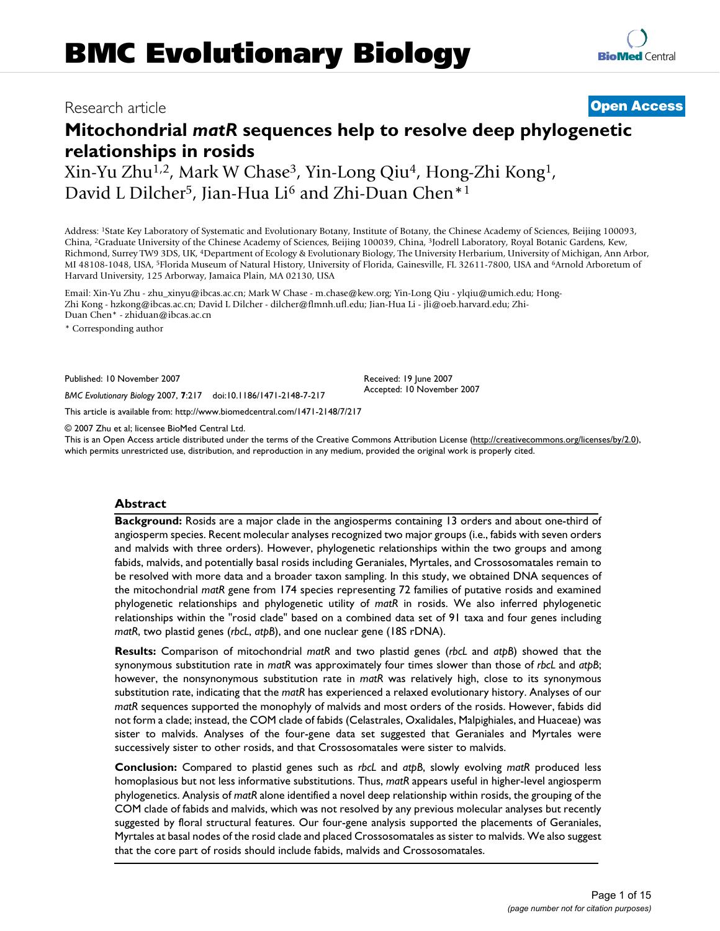# Research article **[Open Access](http://www.biomedcentral.com/info/about/charter/)**

# **Mitochondrial** *matR* **sequences help to resolve deep phylogenetic relationships in rosids**

Xin-Yu Zhu1,2, Mark W Chase3, Yin-Long Qiu4, Hong-Zhi Kong1, David L Dilcher<sup>5</sup>, Jian-Hua Li<sup>6</sup> and Zhi-Duan Chen<sup>\*1</sup>

Address: 1State Key Laboratory of Systematic and Evolutionary Botany, Institute of Botany, the Chinese Academy of Sciences, Beijing 100093, China, 2Graduate University of the Chinese Academy of Sciences, Beijing 100039, China, 3Jodrell Laboratory, Royal Botanic Gardens, Kew, Richmond, Surrey TW9 3DS, UK, 4Department of Ecology & Evolutionary Biology, The University Herbarium, University of Michigan, Ann Arbor, MI 48108-1048, USA, 5Florida Museum of Natural History, University of Florida, Gainesville, FL 32611-7800, USA and 6Arnold Arboretum of Harvard University, 125 Arborway, Jamaica Plain, MA 02130, USA

Email: Xin-Yu Zhu - zhu\_xinyu@ibcas.ac.cn; Mark W Chase - m.chase@kew.org; Yin-Long Qiu - ylqiu@umich.edu; Hong-Zhi Kong - hzkong@ibcas.ac.cn; David L Dilcher - dilcher@flmnh.ufl.edu; Jian-Hua Li - jli@oeb.harvard.edu; Zhi-Duan Chen\* - zhiduan@ibcas.ac.cn

\* Corresponding author

Published: 10 November 2007

*BMC Evolutionary Biology* 2007, **7**:217 doi:10.1186/1471-2148-7-217

[This article is available from: http://www.biomedcentral.com/1471-2148/7/217](http://www.biomedcentral.com/1471-2148/7/217)

© 2007 Zhu et al; licensee BioMed Central Ltd.

This is an Open Access article distributed under the terms of the Creative Commons Attribution License [\(http://creativecommons.org/licenses/by/2.0\)](http://creativecommons.org/licenses/by/2.0), which permits unrestricted use, distribution, and reproduction in any medium, provided the original work is properly cited.

Received: 19 June 2007 Accepted: 10 November 2007

### **Abstract**

**Background:** Rosids are a major clade in the angiosperms containing 13 orders and about one-third of angiosperm species. Recent molecular analyses recognized two major groups (i.e., fabids with seven orders and malvids with three orders). However, phylogenetic relationships within the two groups and among fabids, malvids, and potentially basal rosids including Geraniales, Myrtales, and Crossosomatales remain to be resolved with more data and a broader taxon sampling. In this study, we obtained DNA sequences of the mitochondrial *matR* gene from 174 species representing 72 families of putative rosids and examined phylogenetic relationships and phylogenetic utility of *matR* in rosids. We also inferred phylogenetic relationships within the "rosid clade" based on a combined data set of 91 taxa and four genes including *matR*, two plastid genes (*rbcL*, *atpB*), and one nuclear gene (18S rDNA).

**Results:** Comparison of mitochondrial *matR* and two plastid genes (*rbcL* and *atpB*) showed that the synonymous substitution rate in *matR* was approximately four times slower than those of *rbcL* and *atpB*; however, the nonsynonymous substitution rate in *matR* was relatively high, close to its synonymous substitution rate, indicating that the *matR* has experienced a relaxed evolutionary history. Analyses of our *matR* sequences supported the monophyly of malvids and most orders of the rosids. However, fabids did not form a clade; instead, the COM clade of fabids (Celastrales, Oxalidales, Malpighiales, and Huaceae) was sister to malvids. Analyses of the four-gene data set suggested that Geraniales and Myrtales were successively sister to other rosids, and that Crossosomatales were sister to malvids.

**Conclusion:** Compared to plastid genes such as *rbcL* and *atpB*, slowly evolving *matR* produced less homoplasious but not less informative substitutions. Thus, *matR* appears useful in higher-level angiosperm phylogenetics. Analysis of *matR* alone identified a novel deep relationship within rosids, the grouping of the COM clade of fabids and malvids, which was not resolved by any previous molecular analyses but recently suggested by floral structural features. Our four-gene analysis supported the placements of Geraniales, Myrtales at basal nodes of the rosid clade and placed Crossosomatales as sister to malvids. We also suggest that the core part of rosids should include fabids, malvids and Crossosomatales.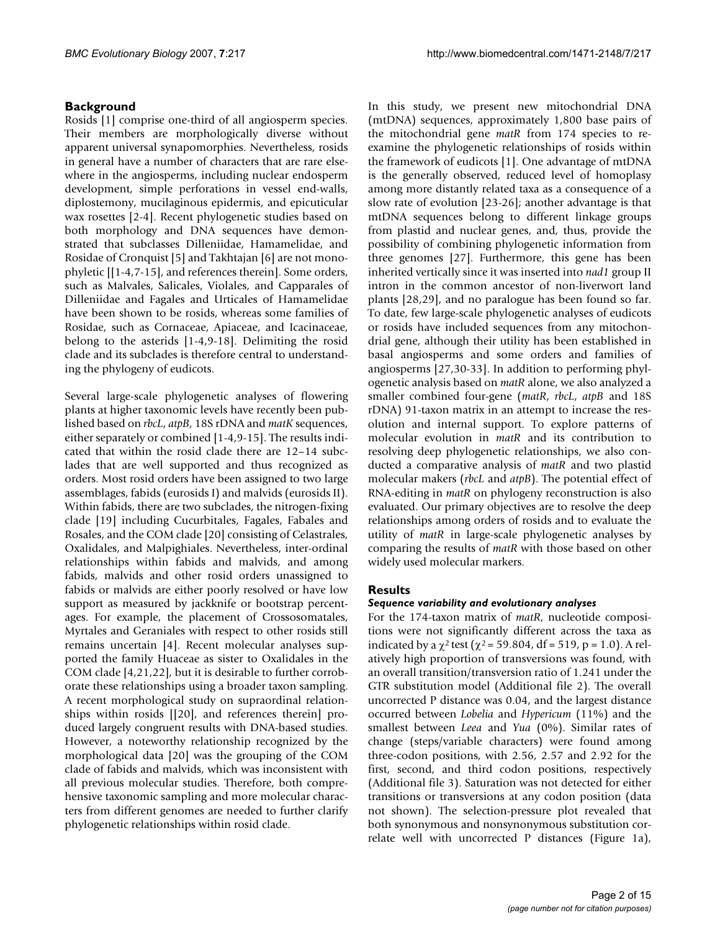#### **Background**

Rosids [1] comprise one-third of all angiosperm species. Their members are morphologically diverse without apparent universal synapomorphies. Nevertheless, rosids in general have a number of characters that are rare elsewhere in the angiosperms, including nuclear endosperm development, simple perforations in vessel end-walls, diplostemony, mucilaginous epidermis, and epicuticular wax rosettes [2-4]. Recent phylogenetic studies based on both morphology and DNA sequences have demonstrated that subclasses Dilleniidae, Hamamelidae, and Rosidae of Cronquist [5] and Takhtajan [6] are not monophyletic [[1-4,7-15], and references therein]. Some orders, such as Malvales, Salicales, Violales, and Capparales of Dilleniidae and Fagales and Urticales of Hamamelidae have been shown to be rosids, whereas some families of Rosidae, such as Cornaceae, Apiaceae, and Icacinaceae, belong to the asterids [1-4,9-18]. Delimiting the rosid clade and its subclades is therefore central to understanding the phylogeny of eudicots.

Several large-scale phylogenetic analyses of flowering plants at higher taxonomic levels have recently been published based on *rbcL*, *atpB*, 18S rDNA and *matK* sequences, either separately or combined [1-4,9-15]. The results indicated that within the rosid clade there are 12–14 subclades that are well supported and thus recognized as orders. Most rosid orders have been assigned to two large assemblages, fabids (eurosids I) and malvids (eurosids II). Within fabids, there are two subclades, the nitrogen-fixing clade [19] including Cucurbitales, Fagales, Fabales and Rosales, and the COM clade [20] consisting of Celastrales, Oxalidales, and Malpighiales. Nevertheless, inter-ordinal relationships within fabids and malvids, and among fabids, malvids and other rosid orders unassigned to fabids or malvids are either poorly resolved or have low support as measured by jackknife or bootstrap percentages. For example, the placement of Crossosomatales, Myrtales and Geraniales with respect to other rosids still remains uncertain [4]. Recent molecular analyses supported the family Huaceae as sister to Oxalidales in the COM clade [4,21,22], but it is desirable to further corroborate these relationships using a broader taxon sampling. A recent morphological study on supraordinal relationships within rosids [[20], and references therein] produced largely congruent results with DNA-based studies. However, a noteworthy relationship recognized by the morphological data [20] was the grouping of the COM clade of fabids and malvids, which was inconsistent with all previous molecular studies. Therefore, both comprehensive taxonomic sampling and more molecular characters from different genomes are needed to further clarify phylogenetic relationships within rosid clade.

In this study, we present new mitochondrial DNA (mtDNA) sequences, approximately 1,800 base pairs of the mitochondrial gene *matR* from 174 species to reexamine the phylogenetic relationships of rosids within the framework of eudicots [1]. One advantage of mtDNA is the generally observed, reduced level of homoplasy among more distantly related taxa as a consequence of a slow rate of evolution [23-26]; another advantage is that mtDNA sequences belong to different linkage groups from plastid and nuclear genes, and, thus, provide the possibility of combining phylogenetic information from three genomes [27]. Furthermore, this gene has been inherited vertically since it was inserted into *nad1* group II intron in the common ancestor of non-liverwort land plants [28,29], and no paralogue has been found so far. To date, few large-scale phylogenetic analyses of eudicots or rosids have included sequences from any mitochondrial gene, although their utility has been established in basal angiosperms and some orders and families of angiosperms [27,30-33]. In addition to performing phylogenetic analysis based on *matR* alone, we also analyzed a smaller combined four-gene (*matR*, *rbcL*, *atpB* and 18S rDNA) 91-taxon matrix in an attempt to increase the resolution and internal support. To explore patterns of molecular evolution in *matR* and its contribution to resolving deep phylogenetic relationships, we also conducted a comparative analysis of *matR* and two plastid molecular makers (*rbcL* and *atpB*). The potential effect of RNA-editing in *matR* on phylogeny reconstruction is also evaluated. Our primary objectives are to resolve the deep relationships among orders of rosids and to evaluate the utility of *matR* in large-scale phylogenetic analyses by comparing the results of *matR* with those based on other widely used molecular markers.

#### **Results**

#### *Sequence variability and evolutionary analyses*

For the 174-taxon matrix of *matR*, nucleotide compositions were not significantly different across the taxa as indicated by a  $\chi^2$  test ( $\chi^2$  = 59.804, df = 519, p = 1.0). A relatively high proportion of transversions was found, with an overall transition/transversion ratio of 1.241 under the GTR substitution model (Additional file 2). The overall uncorrected P distance was 0.04, and the largest distance occurred between *Lobelia* and *Hypericum* (11%) and the smallest between *Leea* and *Yua* (0%). Similar rates of change (steps/variable characters) were found among three-codon positions, with 2.56, 2.57 and 2.92 for the first, second, and third codon positions, respectively (Additional file 3). Saturation was not detected for either transitions or transversions at any codon position (data not shown). The selection-pressure plot revealed that both synonymous and nonsynonymous substitution correlate well with uncorrected P distances (Figure 1a),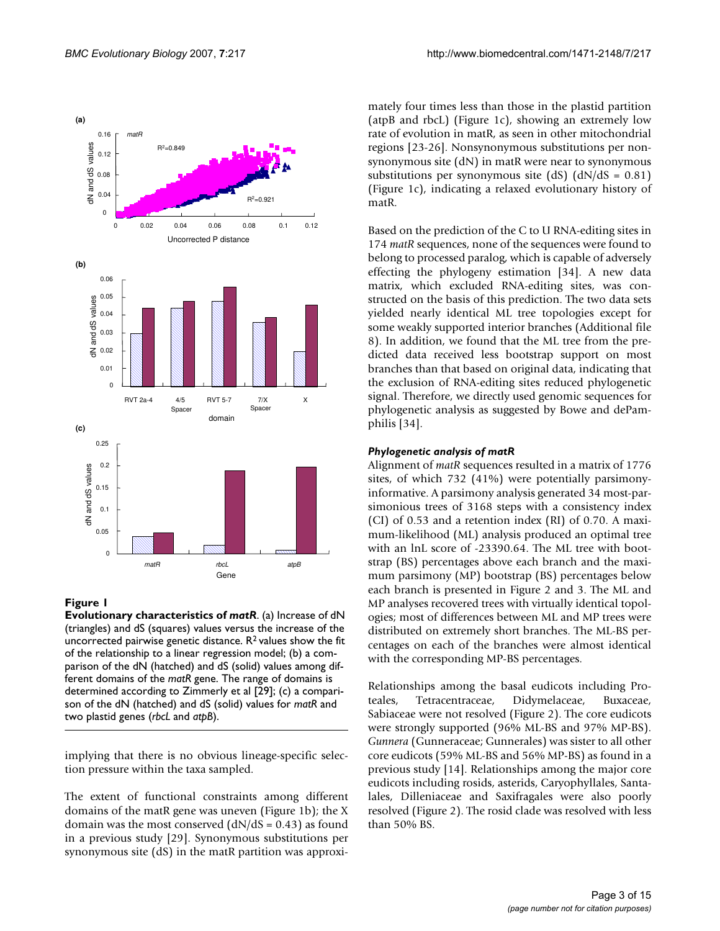

**Evolutionary characteristics of** *matR*. (a) Increase of dN (triangles) and dS (squares) values versus the increase of the uncorrected pairwise genetic distance. R2 values show the fit of the relationship to a linear regression model; (b) a comparison of the dN (hatched) and dS (solid) values among different domains of the *matR* gene. The range of domains is determined according to Zimmerly et al [29]; (c) a comparison of the dN (hatched) and dS (solid) values for *matR* and two plastid genes (*rbcL* and *atpB*).

implying that there is no obvious lineage-specific selection pressure within the taxa sampled.

The extent of functional constraints among different domains of the matR gene was uneven (Figure 1b); the X domain was the most conserved  $(dN/dS = 0.43)$  as found in a previous study [29]. Synonymous substitutions per synonymous site (dS) in the matR partition was approximately four times less than those in the plastid partition (atpB and rbcL) (Figure 1c), showing an extremely low rate of evolution in matR, as seen in other mitochondrial regions [23-26]. Nonsynonymous substitutions per nonsynonymous site (dN) in matR were near to synonymous substitutions per synonymous site (dS)  $(dN/dS = 0.81)$ (Figure 1c), indicating a relaxed evolutionary history of matR.

Based on the prediction of the C to U RNA-editing sites in 174 *matR* sequences, none of the sequences were found to belong to processed paralog, which is capable of adversely effecting the phylogeny estimation [34]. A new data matrix, which excluded RNA-editing sites, was constructed on the basis of this prediction. The two data sets yielded nearly identical ML tree topologies except for some weakly supported interior branches (Additional file 8). In addition, we found that the ML tree from the predicted data received less bootstrap support on most branches than that based on original data, indicating that the exclusion of RNA-editing sites reduced phylogenetic signal. Therefore, we directly used genomic sequences for phylogenetic analysis as suggested by Bowe and dePamphilis [34].

#### *Phylogenetic analysis of matR*

Alignment of *matR* sequences resulted in a matrix of 1776 sites, of which 732 (41%) were potentially parsimonyinformative. A parsimony analysis generated 34 most-parsimonious trees of 3168 steps with a consistency index (CI) of 0.53 and a retention index (RI) of 0.70. A maximum-likelihood (ML) analysis produced an optimal tree with an lnL score of -23390.64. The ML tree with bootstrap (BS) percentages above each branch and the maximum parsimony (MP) bootstrap (BS) percentages below each branch is presented in Figure 2 and 3. The ML and MP analyses recovered trees with virtually identical topologies; most of differences between ML and MP trees were distributed on extremely short branches. The ML-BS percentages on each of the branches were almost identical with the corresponding MP-BS percentages.

Relationships among the basal eudicots including Proteales, Tetracentraceae, Didymelaceae, Buxaceae, Sabiaceae were not resolved (Figure 2). The core eudicots were strongly supported (96% ML-BS and 97% MP-BS). *Gunnera* (Gunneraceae; Gunnerales) was sister to all other core eudicots (59% ML-BS and 56% MP-BS) as found in a previous study [14]. Relationships among the major core eudicots including rosids, asterids, Caryophyllales, Santalales, Dilleniaceae and Saxifragales were also poorly resolved (Figure 2). The rosid clade was resolved with less than 50% BS.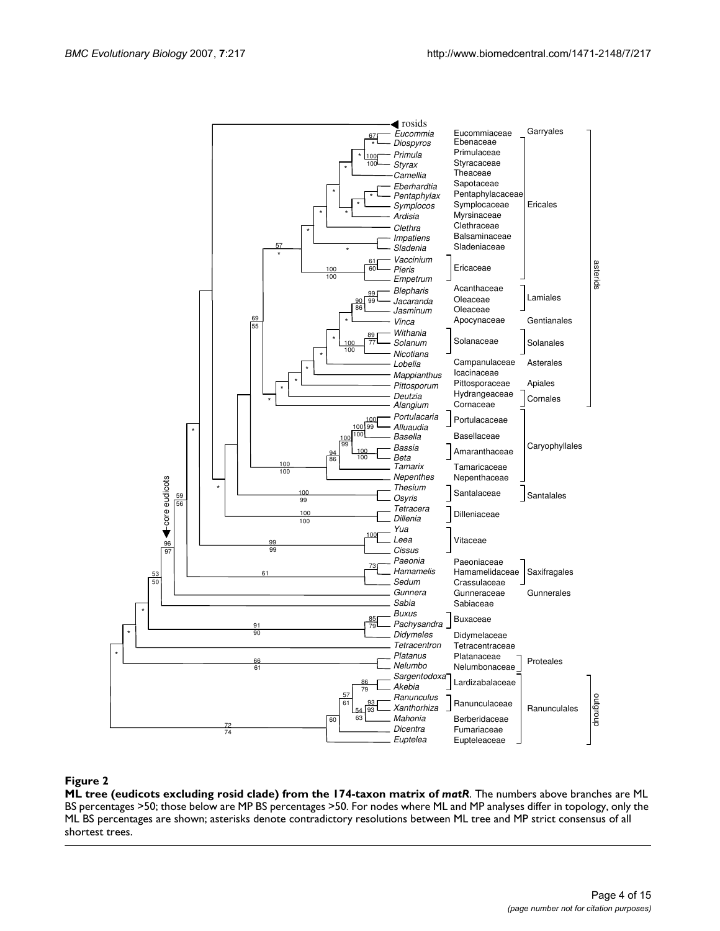

**ML tree (eudicots excluding rosid clade) from the 174-taxon matrix of** *matR***. The numbers above branches are ML** BS percentages >50; those below are MP BS percentages >50. For nodes where ML and MP analyses differ in topology, only the ML BS percentages are shown; asterisks denote contradictory resolutions between ML tree and MP strict consensus of all shortest trees.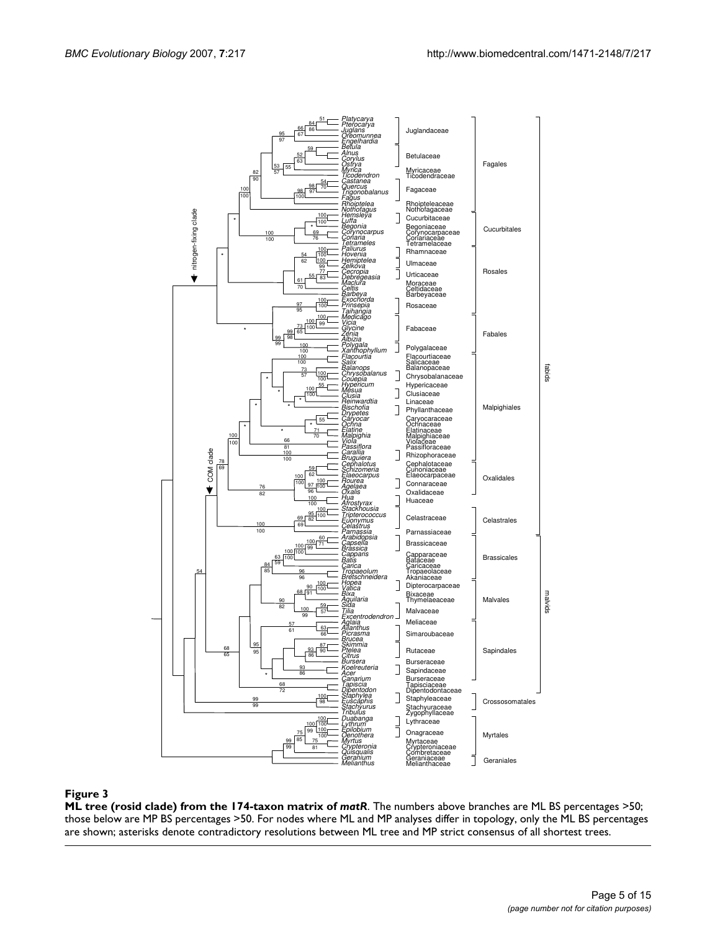

**ML tree (rosid clade) from the 174-taxon matrix of** *matR*. The numbers above branches are ML BS percentages >50; those below are MP BS percentages >50. For nodes where ML and MP analyses differ in topology, only the ML BS percentages are shown; asterisks denote contradictory resolutions between ML tree and MP strict consensus of all shortest trees.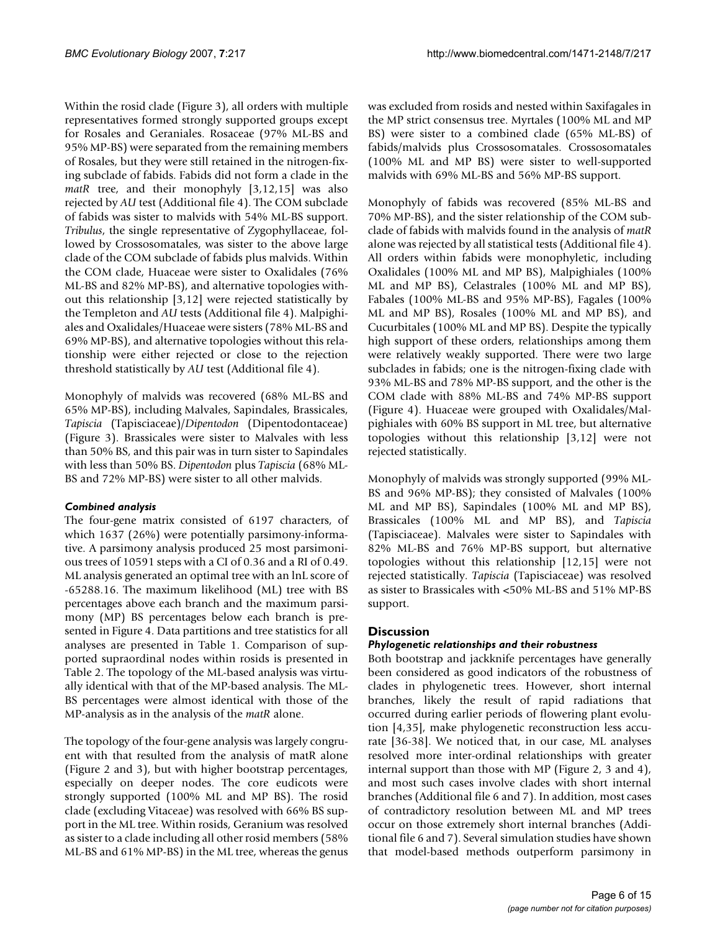Within the rosid clade (Figure 3), all orders with multiple representatives formed strongly supported groups except for Rosales and Geraniales. Rosaceae (97% ML-BS and 95% MP-BS) were separated from the remaining members of Rosales, but they were still retained in the nitrogen-fixing subclade of fabids. Fabids did not form a clade in the *matR* tree, and their monophyly [3,12,15] was also rejected by *AU* test (Additional file 4). The COM subclade of fabids was sister to malvids with 54% ML-BS support. *Tribulus*, the single representative of Zygophyllaceae, followed by Crossosomatales, was sister to the above large clade of the COM subclade of fabids plus malvids. Within the COM clade, Huaceae were sister to Oxalidales (76% ML-BS and 82% MP-BS), and alternative topologies without this relationship [3,12] were rejected statistically by the Templeton and *AU* tests (Additional file 4). Malpighiales and Oxalidales/Huaceae were sisters (78% ML-BS and 69% MP-BS), and alternative topologies without this relationship were either rejected or close to the rejection threshold statistically by *AU* test (Additional file 4).

Monophyly of malvids was recovered (68% ML-BS and 65% MP-BS), including Malvales, Sapindales, Brassicales, *Tapiscia* (Tapisciaceae)/*Dipentodon* (Dipentodontaceae) (Figure 3). Brassicales were sister to Malvales with less than 50% BS, and this pair was in turn sister to Sapindales with less than 50% BS. *Dipentodon* plus *Tapiscia* (68% ML-BS and 72% MP-BS) were sister to all other malvids.

## *Combined analysis*

The four-gene matrix consisted of 6197 characters, of which 1637 (26%) were potentially parsimony-informative. A parsimony analysis produced 25 most parsimonious trees of 10591 steps with a CI of 0.36 and a RI of 0.49. ML analysis generated an optimal tree with an lnL score of -65288.16. The maximum likelihood (ML) tree with BS percentages above each branch and the maximum parsimony (MP) BS percentages below each branch is presented in Figure 4. Data partitions and tree statistics for all analyses are presented in Table 1. Comparison of supported supraordinal nodes within rosids is presented in Table 2. The topology of the ML-based analysis was virtually identical with that of the MP-based analysis. The ML-BS percentages were almost identical with those of the MP-analysis as in the analysis of the *matR* alone.

The topology of the four-gene analysis was largely congruent with that resulted from the analysis of matR alone (Figure 2 and 3), but with higher bootstrap percentages, especially on deeper nodes. The core eudicots were strongly supported (100% ML and MP BS). The rosid clade (excluding Vitaceae) was resolved with 66% BS support in the ML tree. Within rosids, Geranium was resolved as sister to a clade including all other rosid members (58% ML-BS and 61% MP-BS) in the ML tree, whereas the genus was excluded from rosids and nested within Saxifagales in the MP strict consensus tree. Myrtales (100% ML and MP BS) were sister to a combined clade (65% ML-BS) of fabids/malvids plus Crossosomatales. Crossosomatales (100% ML and MP BS) were sister to well-supported malvids with 69% ML-BS and 56% MP-BS support.

Monophyly of fabids was recovered (85% ML-BS and 70% MP-BS), and the sister relationship of the COM subclade of fabids with malvids found in the analysis of *matR* alone was rejected by all statistical tests (Additional file 4). All orders within fabids were monophyletic, including Oxalidales (100% ML and MP BS), Malpighiales (100% ML and MP BS), Celastrales (100% ML and MP BS), Fabales (100% ML-BS and 95% MP-BS), Fagales (100% ML and MP BS), Rosales (100% ML and MP BS), and Cucurbitales (100% ML and MP BS). Despite the typically high support of these orders, relationships among them were relatively weakly supported. There were two large subclades in fabids; one is the nitrogen-fixing clade with 93% ML-BS and 78% MP-BS support, and the other is the COM clade with 88% ML-BS and 74% MP-BS support (Figure 4). Huaceae were grouped with Oxalidales/Malpighiales with 60% BS support in ML tree, but alternative topologies without this relationship [3,12] were not rejected statistically.

Monophyly of malvids was strongly supported (99% ML-BS and 96% MP-BS); they consisted of Malvales (100% ML and MP BS), Sapindales (100% ML and MP BS), Brassicales (100% ML and MP BS), and *Tapiscia* (Tapisciaceae). Malvales were sister to Sapindales with 82% ML-BS and 76% MP-BS support, but alternative topologies without this relationship [12,15] were not rejected statistically. *Tapiscia* (Tapisciaceae) was resolved as sister to Brassicales with <50% ML-BS and 51% MP-BS support.

## **Discussion**

## *Phylogenetic relationships and their robustness*

Both bootstrap and jackknife percentages have generally been considered as good indicators of the robustness of clades in phylogenetic trees. However, short internal branches, likely the result of rapid radiations that occurred during earlier periods of flowering plant evolution [4,35], make phylogenetic reconstruction less accurate [36-38]. We noticed that, in our case, ML analyses resolved more inter-ordinal relationships with greater internal support than those with MP (Figure 2, 3 and 4), and most such cases involve clades with short internal branches (Additional file 6 and 7). In addition, most cases of contradictory resolution between ML and MP trees occur on those extremely short internal branches (Additional file 6 and 7). Several simulation studies have shown that model-based methods outperform parsimony in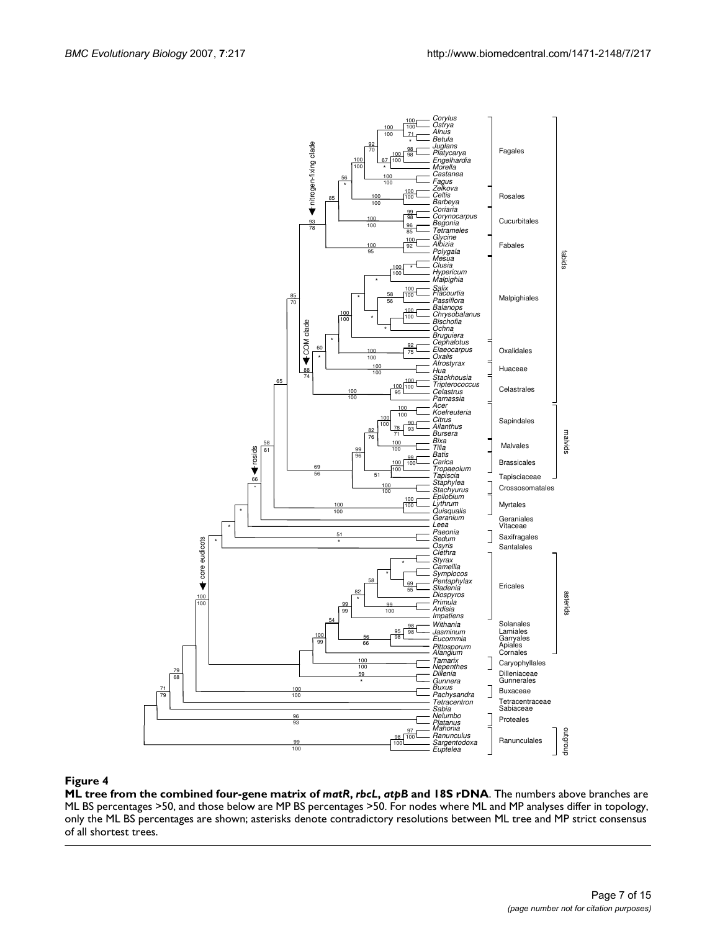

**ML tree from the combined four-gene matrix of** *matR***,** *rbcL***,** *atpB* **and 18S rDNA**. The numbers above branches are ML BS percentages >50, and those below are MP BS percentages >50. For nodes where ML and MP analyses differ in topology, only the ML BS percentages are shown; asterisks denote contradictory resolutions between ML tree and MP strict consensus of all shortest trees.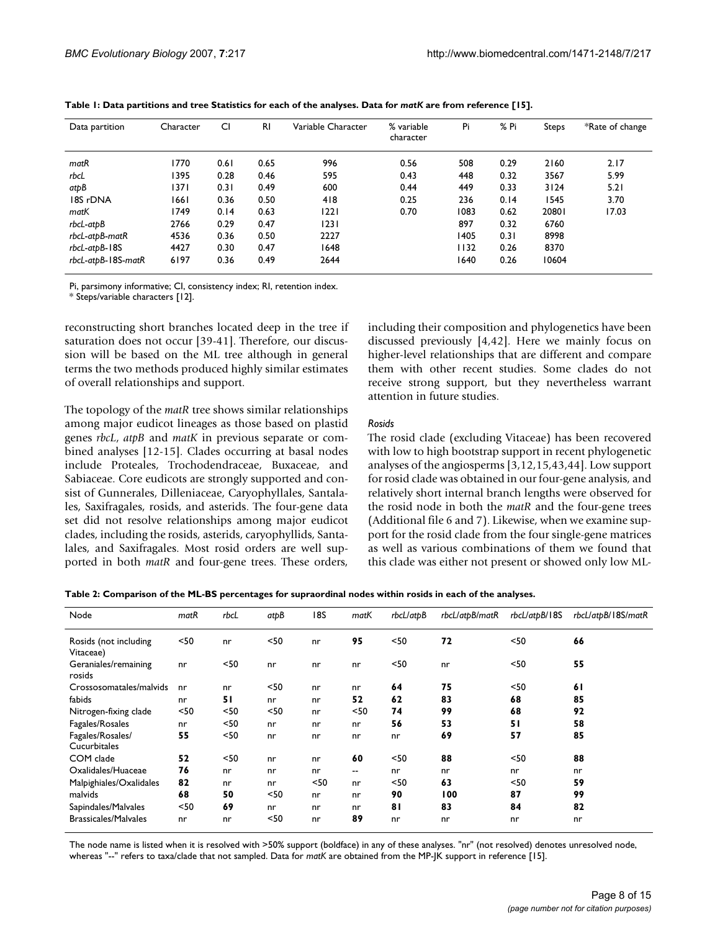| Data partition     | Character | CI   | <b>RI</b> | Variable Character | % variable<br>character | Pi   | % Pi | <b>Steps</b> | *Rate of change |
|--------------------|-----------|------|-----------|--------------------|-------------------------|------|------|--------------|-----------------|
| matR               | 1770      | 0.61 | 0.65      | 996                | 0.56                    | 508  | 0.29 | 2160         | 2.17            |
| rbcL               | 1395      | 0.28 | 0.46      | 595                | 0.43                    | 448  | 0.32 | 3567         | 5.99            |
| atpB               | 1371      | 0.31 | 0.49      | 600                | 0.44                    | 449  | 0.33 | 3124         | 5.21            |
| 18S rDNA           | 1661      | 0.36 | 0.50      | 418                | 0.25                    | 236  | 0.14 | 1545         | 3.70            |
| matK               | 1749      | 0.14 | 0.63      | 1221               | 0.70                    | 1083 | 0.62 | 20801        | 17.03           |
| rbcL-atpB          | 2766      | 0.29 | 0.47      | 1231               |                         | 897  | 0.32 | 6760         |                 |
| rbcL-atpB-matR     | 4536      | 0.36 | 0.50      | 2227               |                         | 1405 | 0.31 | 8998         |                 |
| rbcL-atpB-18S      | 4427      | 0.30 | 0.47      | 1648               |                         | 1132 | 0.26 | 8370         |                 |
| rbcL-atpB-18S-matR | 6197      | 0.36 | 0.49      | 2644               |                         | 1640 | 0.26 | 10604        |                 |

Pi, parsimony informative; CI, consistency index; RI, retention index.

\* Steps/variable characters [12].

reconstructing short branches located deep in the tree if saturation does not occur [39-41]. Therefore, our discussion will be based on the ML tree although in general terms the two methods produced highly similar estimates of overall relationships and support.

The topology of the *matR* tree shows similar relationships among major eudicot lineages as those based on plastid genes *rbcL*, *atpB* and *matK* in previous separate or combined analyses [12-15]. Clades occurring at basal nodes include Proteales, Trochodendraceae, Buxaceae, and Sabiaceae. Core eudicots are strongly supported and consist of Gunnerales, Dilleniaceae, Caryophyllales, Santalales, Saxifragales, rosids, and asterids. The four-gene data set did not resolve relationships among major eudicot clades, including the rosids, asterids, caryophyllids, Santalales, and Saxifragales. Most rosid orders are well supported in both *matR* and four-gene trees. These orders,

including their composition and phylogenetics have been discussed previously [4,42]. Here we mainly focus on higher-level relationships that are different and compare them with other recent studies. Some clades do not receive strong support, but they nevertheless warrant attention in future studies.

#### *Rosids*

The rosid clade (excluding Vitaceae) has been recovered with low to high bootstrap support in recent phylogenetic analyses of the angiosperms [3,12,15,43,44]. Low support for rosid clade was obtained in our four-gene analysis, and relatively short internal branch lengths were observed for the rosid node in both the *matR* and the four-gene trees (Additional file 6 and 7). Likewise, when we examine support for the rosid clade from the four single-gene matrices as well as various combinations of them we found that this clade was either not present or showed only low ML-

**Table 2: Comparison of the ML-BS percentages for supraordinal nodes within rosids in each of the analyses.**

| Node                               | matR | rbcL | atpB | 18S  | matK | rbcL/atpB | rbcL/atpB/matR | rbcL/atpB/18S | rbcL/atpB/18S/matR |
|------------------------------------|------|------|------|------|------|-----------|----------------|---------------|--------------------|
| Rosids (not including<br>Vitaceae) | $50$ | nr   | $50$ | nr   | 95   | $50$      | 72             | $50$          | 66                 |
| Geraniales/remaining<br>rosids     | nr   | $50$ | nr   | nr   | nr   | $50$      | nr             | $50$          | 55                 |
| Crossosomatales/malvids            | nr   | nr   | $50$ | nr   | nr   | 64        | 75             | $50$          | 61                 |
| fabids                             | nr   | 51   | nr   | nr   | 52   | 62        | 83             | 68            | 85                 |
| Nitrogen-fixing clade              | $50$ | $50$ | $50$ | nr   | $50$ | 74        | 99             | 68            | 92                 |
| Fagales/Rosales                    | nr   | $50$ | nr   | nr   | nr   | 56        | 53             | 51            | 58                 |
| Fagales/Rosales/<br>Cucurbitales   | 55   | <50  | nr   | nr   | nr   | nr        | 69             | 57            | 85                 |
| COM clade                          | 52   | $50$ | nr   | nr   | 60   | $50$      | 88             | $50$          | 88                 |
| Oxalidales/Huaceae                 | 76   | nr   | nr   | nr   | --   | nr        | nr             | nr            | nr                 |
| Malpighiales/Oxalidales            | 82   | nr   | nr   | $50$ | nr   | $50$      | 63             | $50$          | 59                 |
| malvids                            | 68   | 50   | $50$ | nr   | nr   | 90        | 100            | 87            | 99                 |
| Sapindales/Malvales                | $50$ | 69   | nr   | nr   | nr   | 81        | 83             | 84            | 82                 |
| <b>Brassicales/Malvales</b>        | nr   | nr   | $50$ | nr   | 89   | nr        | nr             | nr            | nr                 |

The node name is listed when it is resolved with >50% support (boldface) in any of these analyses. "nr" (not resolved) denotes unresolved node, whereas "--" refers to taxa/clade that not sampled. Data for *matK* are obtained from the MP-JK support in reference [15].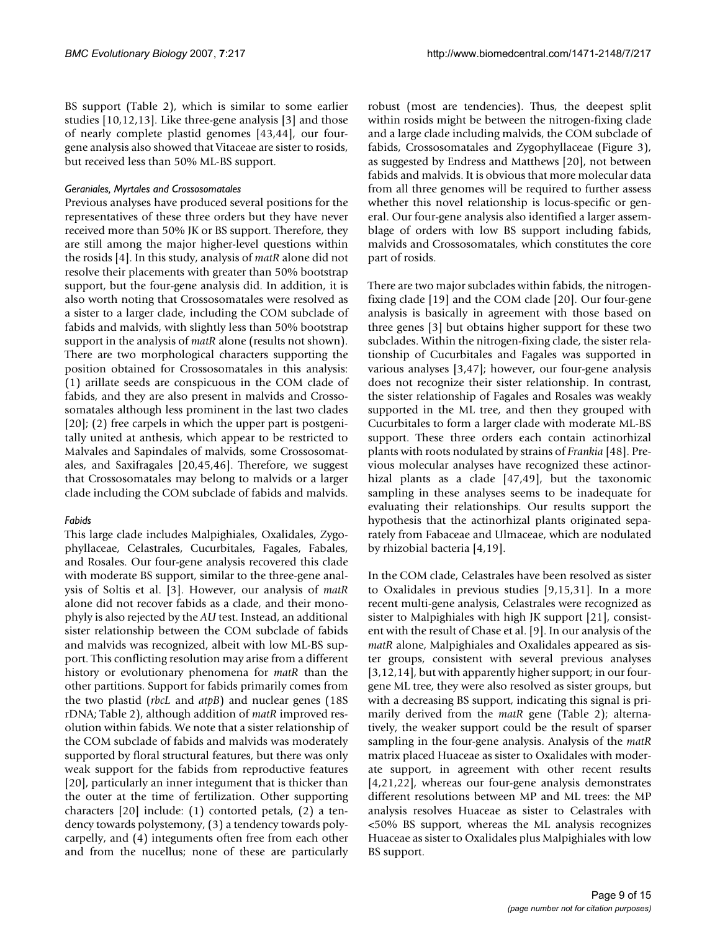BS support (Table 2), which is similar to some earlier studies [10,12,13]. Like three-gene analysis [3] and those of nearly complete plastid genomes [43,44], our fourgene analysis also showed that Vitaceae are sister to rosids, but received less than 50% ML-BS support.

#### *Geraniales, Myrtales and Crossosomatales*

Previous analyses have produced several positions for the representatives of these three orders but they have never received more than 50% JK or BS support. Therefore, they are still among the major higher-level questions within the rosids [4]. In this study, analysis of *matR* alone did not resolve their placements with greater than 50% bootstrap support, but the four-gene analysis did. In addition, it is also worth noting that Crossosomatales were resolved as a sister to a larger clade, including the COM subclade of fabids and malvids, with slightly less than 50% bootstrap support in the analysis of *matR* alone (results not shown). There are two morphological characters supporting the position obtained for Crossosomatales in this analysis: (1) arillate seeds are conspicuous in the COM clade of fabids, and they are also present in malvids and Crossosomatales although less prominent in the last two clades [20]; (2) free carpels in which the upper part is postgenitally united at anthesis, which appear to be restricted to Malvales and Sapindales of malvids, some Crossosomatales, and Saxifragales [20,45,46]. Therefore, we suggest that Crossosomatales may belong to malvids or a larger clade including the COM subclade of fabids and malvids.

## *Fabids*

This large clade includes Malpighiales, Oxalidales, Zygophyllaceae, Celastrales, Cucurbitales, Fagales, Fabales, and Rosales. Our four-gene analysis recovered this clade with moderate BS support, similar to the three-gene analysis of Soltis et al. [3]. However, our analysis of *matR* alone did not recover fabids as a clade, and their monophyly is also rejected by the *AU* test. Instead, an additional sister relationship between the COM subclade of fabids and malvids was recognized, albeit with low ML-BS support. This conflicting resolution may arise from a different history or evolutionary phenomena for *matR* than the other partitions. Support for fabids primarily comes from the two plastid (*rbcL* and *atpB*) and nuclear genes (18S rDNA; Table 2), although addition of *matR* improved resolution within fabids. We note that a sister relationship of the COM subclade of fabids and malvids was moderately supported by floral structural features, but there was only weak support for the fabids from reproductive features [20], particularly an inner integument that is thicker than the outer at the time of fertilization. Other supporting characters [20] include: (1) contorted petals, (2) a tendency towards polystemony, (3) a tendency towards polycarpelly, and (4) integuments often free from each other and from the nucellus; none of these are particularly robust (most are tendencies). Thus, the deepest split within rosids might be between the nitrogen-fixing clade and a large clade including malvids, the COM subclade of fabids, Crossosomatales and Zygophyllaceae (Figure 3), as suggested by Endress and Matthews [20], not between fabids and malvids. It is obvious that more molecular data from all three genomes will be required to further assess whether this novel relationship is locus-specific or general. Our four-gene analysis also identified a larger assemblage of orders with low BS support including fabids, malvids and Crossosomatales, which constitutes the core part of rosids.

There are two major subclades within fabids, the nitrogenfixing clade [19] and the COM clade [20]. Our four-gene analysis is basically in agreement with those based on three genes [3] but obtains higher support for these two subclades. Within the nitrogen-fixing clade, the sister relationship of Cucurbitales and Fagales was supported in various analyses [3,47]; however, our four-gene analysis does not recognize their sister relationship. In contrast, the sister relationship of Fagales and Rosales was weakly supported in the ML tree, and then they grouped with Cucurbitales to form a larger clade with moderate ML-BS support. These three orders each contain actinorhizal plants with roots nodulated by strains of *Frankia* [48]. Previous molecular analyses have recognized these actinorhizal plants as a clade [47,49], but the taxonomic sampling in these analyses seems to be inadequate for evaluating their relationships. Our results support the hypothesis that the actinorhizal plants originated separately from Fabaceae and Ulmaceae, which are nodulated by rhizobial bacteria [4,19].

In the COM clade, Celastrales have been resolved as sister to Oxalidales in previous studies [9,15,31]. In a more recent multi-gene analysis, Celastrales were recognized as sister to Malpighiales with high JK support [21], consistent with the result of Chase et al. [9]. In our analysis of the *matR* alone, Malpighiales and Oxalidales appeared as sister groups, consistent with several previous analyses [3,12,14], but with apparently higher support; in our fourgene ML tree, they were also resolved as sister groups, but with a decreasing BS support, indicating this signal is primarily derived from the *matR* gene (Table 2); alternatively, the weaker support could be the result of sparser sampling in the four-gene analysis. Analysis of the *matR* matrix placed Huaceae as sister to Oxalidales with moderate support, in agreement with other recent results [4,21,22], whereas our four-gene analysis demonstrates different resolutions between MP and ML trees: the MP analysis resolves Huaceae as sister to Celastrales with <50% BS support, whereas the ML analysis recognizes Huaceae as sister to Oxalidales plus Malpighiales with low BS support.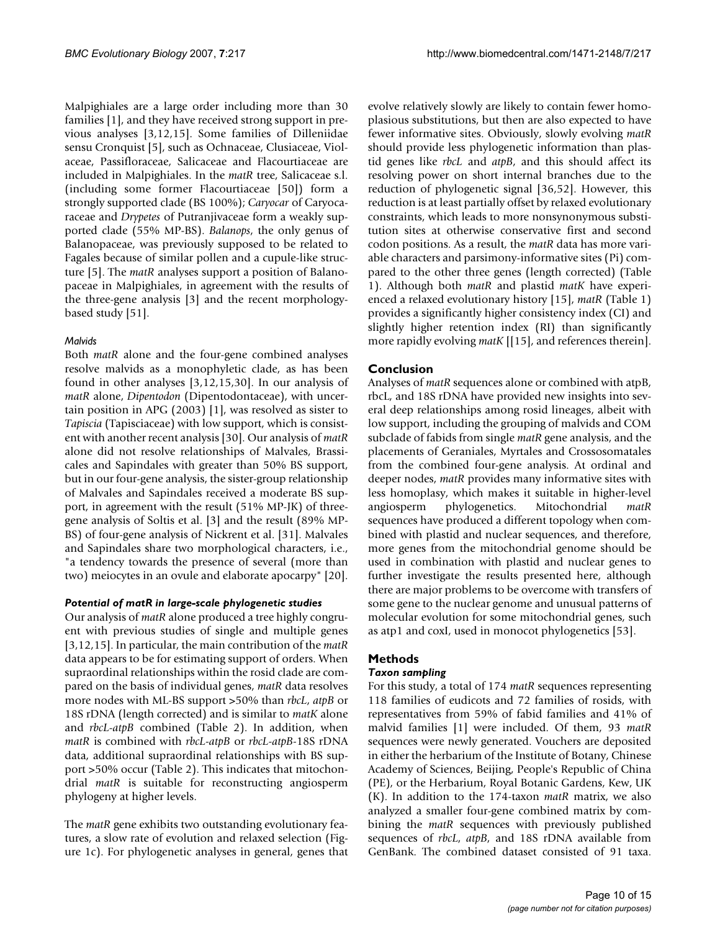Malpighiales are a large order including more than 30 families [1], and they have received strong support in previous analyses [3,12,15]. Some families of Dilleniidae sensu Cronquist [5], such as Ochnaceae, Clusiaceae, Violaceae, Passifloraceae, Salicaceae and Flacourtiaceae are included in Malpighiales. In the *matR* tree, Salicaceae s.l. (including some former Flacourtiaceae [50]) form a strongly supported clade (BS 100%); *Caryocar* of Caryocaraceae and *Drypetes* of Putranjivaceae form a weakly supported clade (55% MP-BS). *Balanops*, the only genus of Balanopaceae, was previously supposed to be related to Fagales because of similar pollen and a cupule-like structure [5]. The *matR* analyses support a position of Balanopaceae in Malpighiales, in agreement with the results of the three-gene analysis [3] and the recent morphologybased study [51].

#### *Malvids*

Both *matR* alone and the four-gene combined analyses resolve malvids as a monophyletic clade, as has been found in other analyses [3,12,15,30]. In our analysis of *matR* alone, *Dipentodon* (Dipentodontaceae), with uncertain position in APG (2003) [1], was resolved as sister to *Tapiscia* (Tapisciaceae) with low support, which is consistent with another recent analysis [30]. Our analysis of *matR* alone did not resolve relationships of Malvales, Brassicales and Sapindales with greater than 50% BS support, but in our four-gene analysis, the sister-group relationship of Malvales and Sapindales received a moderate BS support, in agreement with the result (51% MP-JK) of threegene analysis of Soltis et al. [3] and the result (89% MP-BS) of four-gene analysis of Nickrent et al. [31]. Malvales and Sapindales share two morphological characters, i.e., "a tendency towards the presence of several (more than two) meiocytes in an ovule and elaborate apocarpy" [20].

#### *Potential of matR in large-scale phylogenetic studies*

Our analysis of *matR* alone produced a tree highly congruent with previous studies of single and multiple genes [3,12,15]. In particular, the main contribution of the *matR* data appears to be for estimating support of orders. When supraordinal relationships within the rosid clade are compared on the basis of individual genes, *matR* data resolves more nodes with ML-BS support >50% than *rbcL*, *atpB* or 18S rDNA (length corrected) and is similar to *matK* alone and *rbcL*-*atpB* combined (Table 2). In addition, when *matR* is combined with *rbcL*-*atpB* or *rbcL*-*atpB*-18S rDNA data, additional supraordinal relationships with BS support >50% occur (Table 2). This indicates that mitochondrial *matR* is suitable for reconstructing angiosperm phylogeny at higher levels.

The *matR* gene exhibits two outstanding evolutionary features, a slow rate of evolution and relaxed selection (Figure 1c). For phylogenetic analyses in general, genes that evolve relatively slowly are likely to contain fewer homoplasious substitutions, but then are also expected to have fewer informative sites. Obviously, slowly evolving *matR* should provide less phylogenetic information than plastid genes like *rbcL* and *atpB*, and this should affect its resolving power on short internal branches due to the reduction of phylogenetic signal [36,52]. However, this reduction is at least partially offset by relaxed evolutionary constraints, which leads to more nonsynonymous substitution sites at otherwise conservative first and second codon positions. As a result, the *matR* data has more variable characters and parsimony-informative sites (Pi) compared to the other three genes (length corrected) (Table 1). Although both *matR* and plastid *matK* have experienced a relaxed evolutionary history [15], *matR* (Table 1) provides a significantly higher consistency index (CI) and slightly higher retention index (RI) than significantly more rapidly evolving *matK* [[15], and references therein].

## **Conclusion**

Analyses of *matR* sequences alone or combined with atpB, rbcL, and 18S rDNA have provided new insights into several deep relationships among rosid lineages, albeit with low support, including the grouping of malvids and COM subclade of fabids from single *matR* gene analysis, and the placements of Geraniales, Myrtales and Crossosomatales from the combined four-gene analysis. At ordinal and deeper nodes, *matR* provides many informative sites with less homoplasy, which makes it suitable in higher-level angiosperm phylogenetics. Mitochondrial *matR* sequences have produced a different topology when combined with plastid and nuclear sequences, and therefore, more genes from the mitochondrial genome should be used in combination with plastid and nuclear genes to further investigate the results presented here, although there are major problems to be overcome with transfers of some gene to the nuclear genome and unusual patterns of molecular evolution for some mitochondrial genes, such as atp1 and coxI, used in monocot phylogenetics [53].

## **Methods**

#### *Taxon sampling*

For this study, a total of 174 *matR* sequences representing 118 families of eudicots and 72 families of rosids, with representatives from 59% of fabid families and 41% of malvid families [1] were included. Of them, 93 *matR* sequences were newly generated. Vouchers are deposited in either the herbarium of the Institute of Botany, Chinese Academy of Sciences, Beijing, People's Republic of China (PE), or the Herbarium, Royal Botanic Gardens, Kew, UK (K). In addition to the 174-taxon *matR* matrix, we also analyzed a smaller four-gene combined matrix by combining the *matR* sequences with previously published sequences of *rbcL*, *atpB*, and 18S rDNA available from GenBank. The combined dataset consisted of 91 taxa.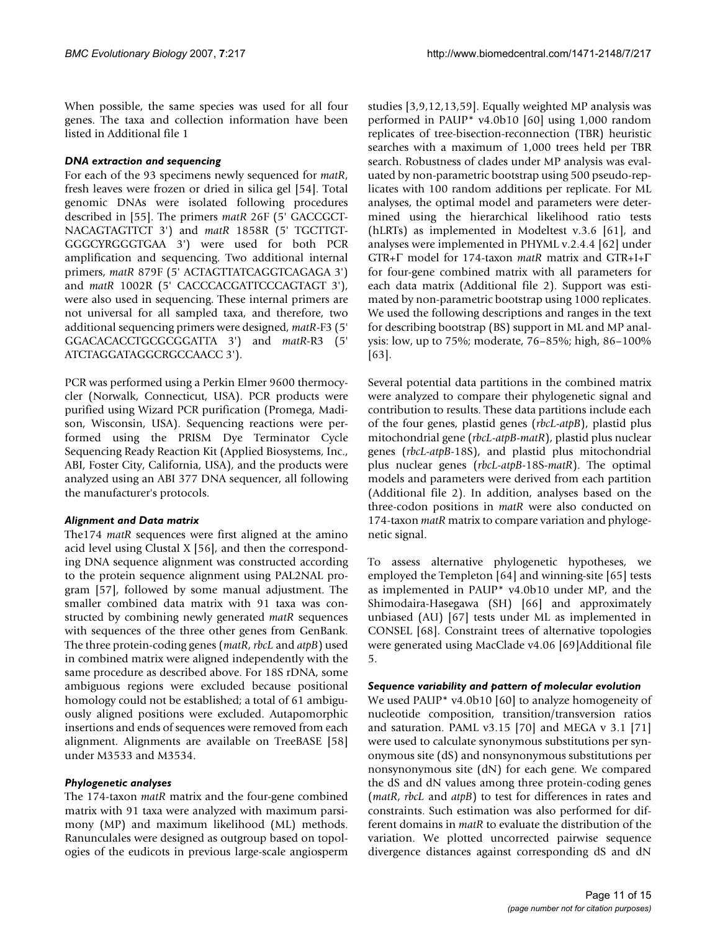When possible, the same species was used for all four genes. The taxa and collection information have been listed in Additional file 1

#### *DNA extraction and sequencing*

For each of the 93 specimens newly sequenced for *matR*, fresh leaves were frozen or dried in silica gel [54]. Total genomic DNAs were isolated following procedures described in [55]. The primers *matR* 26F (5' GACCGCT-NACAGTAGTTCT 3') and *matR* 1858R (5' TGCTTGT-GGGCYRGGGTGAA 3') were used for both PCR amplification and sequencing. Two additional internal primers, matR 879F (5' ACTAGTTATCAGGTCAGAGA 3') and matR 1002R (5' CACCCACGATTCCCAGTAGT 3'), were also used in sequencing. These internal primers are not universal for all sampled taxa, and therefore, two additional sequencing primers were designed, *matR*-F3 (5' GGACACACCTGCGCGGATTA 3') and *matR*-R3 (5' ATCTAGGATAGGCRGCCAACC 3').

PCR was performed using a Perkin Elmer 9600 thermocycler (Norwalk, Connecticut, USA). PCR products were purified using Wizard PCR purification (Promega, Madison, Wisconsin, USA). Sequencing reactions were performed using the PRISM Dye Terminator Cycle Sequencing Ready Reaction Kit (Applied Biosystems, Inc., ABI, Foster City, California, USA), and the products were analyzed using an ABI 377 DNA sequencer, all following the manufacturer's protocols.

#### *Alignment and Data matrix*

The174 *matR* sequences were first aligned at the amino acid level using Clustal X [56], and then the corresponding DNA sequence alignment was constructed according to the protein sequence alignment using PAL2NAL program [57], followed by some manual adjustment. The smaller combined data matrix with 91 taxa was constructed by combining newly generated *matR* sequences with sequences of the three other genes from GenBank. The three protein-coding genes (*matR*, *rbcL* and *atpB*) used in combined matrix were aligned independently with the same procedure as described above. For 18S rDNA, some ambiguous regions were excluded because positional homology could not be established; a total of 61 ambiguously aligned positions were excluded. Autapomorphic insertions and ends of sequences were removed from each alignment. Alignments are available on TreeBASE [58] under M3533 and M3534.

#### *Phylogenetic analyses*

The 174-taxon *matR* matrix and the four-gene combined matrix with 91 taxa were analyzed with maximum parsimony (MP) and maximum likelihood (ML) methods. Ranunculales were designed as outgroup based on topologies of the eudicots in previous large-scale angiosperm

studies [3,9,12,13,59]. Equally weighted MP analysis was performed in PAUP\* v4.0b10 [60] using 1,000 random replicates of tree-bisection-reconnection (TBR) heuristic searches with a maximum of 1,000 trees held per TBR search. Robustness of clades under MP analysis was evaluated by non-parametric bootstrap using 500 pseudo-replicates with 100 random additions per replicate. For ML analyses, the optimal model and parameters were determined using the hierarchical likelihood ratio tests (hLRTs) as implemented in Modeltest v.3.6 [61], and analyses were implemented in PHYML v.2.4.4 [62] under GTR+Γ model for 174-taxon *matR* matrix and GTR+I+Γ for four-gene combined matrix with all parameters for each data matrix (Additional file 2). Support was estimated by non-parametric bootstrap using 1000 replicates. We used the following descriptions and ranges in the text for describing bootstrap (BS) support in ML and MP analysis: low, up to 75%; moderate, 76–85%; high, 86–100% [63].

Several potential data partitions in the combined matrix were analyzed to compare their phylogenetic signal and contribution to results. These data partitions include each of the four genes, plastid genes (*rbcL*-*atpB*), plastid plus mitochondrial gene (*rbcL*-*atpB*-*matR*), plastid plus nuclear genes (*rbcL*-*atpB*-18S), and plastid plus mitochondrial plus nuclear genes (*rbcL*-*atpB*-18S-*matR*). The optimal models and parameters were derived from each partition (Additional file 2). In addition, analyses based on the three-codon positions in *matR* were also conducted on 174-taxon *matR* matrix to compare variation and phylogenetic signal.

To assess alternative phylogenetic hypotheses, we employed the Templeton [64] and winning-site [65] tests as implemented in PAUP\* v4.0b10 under MP, and the Shimodaira-Hasegawa (SH) [66] and approximately unbiased (AU) [67] tests under ML as implemented in CONSEL [68]. Constraint trees of alternative topologies were generated using MacClade v4.06 [69]Additional file 5.

#### *Sequence variability and pattern of molecular evolution*

We used PAUP<sup>\*</sup> v4.0b10 [60] to analyze homogeneity of nucleotide composition, transition/transversion ratios and saturation. PAML v3.15 [70] and MEGA v 3.1 [71] were used to calculate synonymous substitutions per synonymous site (dS) and nonsynonymous substitutions per nonsynonymous site (dN) for each gene. We compared the dS and dN values among three protein-coding genes (*matR*, *rbcL* and *atpB*) to test for differences in rates and constraints. Such estimation was also performed for different domains in *matR* to evaluate the distribution of the variation. We plotted uncorrected pairwise sequence divergence distances against corresponding dS and dN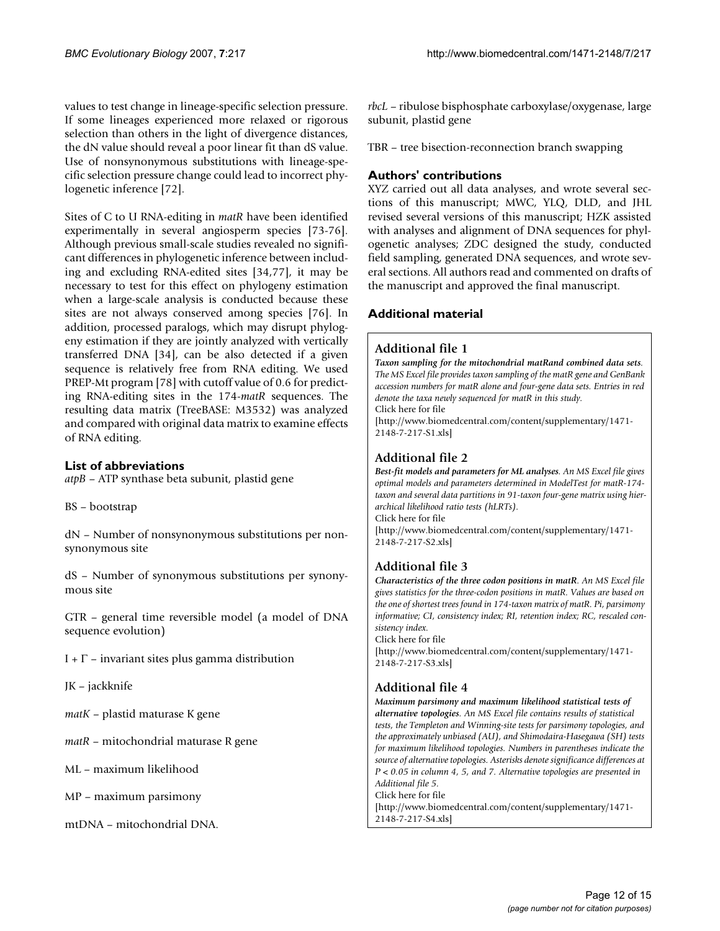values to test change in lineage-specific selection pressure. If some lineages experienced more relaxed or rigorous selection than others in the light of divergence distances, the dN value should reveal a poor linear fit than dS value. Use of nonsynonymous substitutions with lineage-specific selection pressure change could lead to incorrect phylogenetic inference [72].

Sites of C to U RNA-editing in *matR* have been identified experimentally in several angiosperm species [73-76]. Although previous small-scale studies revealed no significant differences in phylogenetic inference between including and excluding RNA-edited sites [34,77], it may be necessary to test for this effect on phylogeny estimation when a large-scale analysis is conducted because these sites are not always conserved among species [76]. In addition, processed paralogs, which may disrupt phylogeny estimation if they are jointly analyzed with vertically transferred DNA [34], can be also detected if a given sequence is relatively free from RNA editing. We used PREP-Mt program [78] with cutoff value of 0.6 for predicting RNA-editing sites in the 174-*matR* sequences. The resulting data matrix (TreeBASE: M3532) was analyzed and compared with original data matrix to examine effects of RNA editing.

## **List of abbreviations**

*atpB* – ATP synthase beta subunit, plastid gene

BS – bootstrap

dN – Number of nonsynonymous substitutions per nonsynonymous site

dS – Number of synonymous substitutions per synonymous site

GTR – general time reversible model (a model of DNA sequence evolution)

I + Γ – invariant sites plus gamma distribution

JK – jackknife

*matK* – plastid maturase K gene

*matR* – mitochondrial maturase R gene

ML – maximum likelihood

MP – maximum parsimony

mtDNA – mitochondrial DNA.

*rbcL* – ribulose bisphosphate carboxylase/oxygenase, large subunit, plastid gene

TBR – tree bisection-reconnection branch swapping

## **Authors' contributions**

XYZ carried out all data analyses, and wrote several sections of this manuscript; MWC, YLQ, DLD, and JHL revised several versions of this manuscript; HZK assisted with analyses and alignment of DNA sequences for phylogenetic analyses; ZDC designed the study, conducted field sampling, generated DNA sequences, and wrote several sections. All authors read and commented on drafts of the manuscript and approved the final manuscript.

## **Additional material**

#### **Additional file 1**

*Taxon sampling for the mitochondrial matRand combined data sets. The MS Excel file provides taxon sampling of the matR gene and GenBank accession numbers for matR alone and four-gene data sets. Entries in red denote the taxa newly sequenced for matR in this study.* Click here for file [\[http://www.biomedcentral.com/content/supplementary/1471-](http://www.biomedcentral.com/content/supplementary/1471-2148-7-217-S1.xls)

2148-7-217-S1.xls]

## **Additional file 2**

*Best-fit models and parameters for ML analyses. An MS Excel file gives optimal models and parameters determined in ModelTest for matR-174 taxon and several data partitions in 91-taxon four-gene matrix using hierarchical likelihood ratio tests (hLRTs).* Click here for file

[\[http://www.biomedcentral.com/content/supplementary/1471-](http://www.biomedcentral.com/content/supplementary/1471-2148-7-217-S2.xls) 2148-7-217-S2.xls]

## **Additional file 3**

*Characteristics of the three codon positions in matR. An MS Excel file gives statistics for the three-codon positions in matR. Values are based on the one of shortest trees found in 174-taxon matrix of matR. Pi, parsimony informative; CI, consistency index; RI, retention index; RC, rescaled consistency index.*

Click here for file [\[http://www.biomedcentral.com/content/supplementary/1471-](http://www.biomedcentral.com/content/supplementary/1471-2148-7-217-S3.xls) 2148-7-217-S3.xls]

## **Additional file 4**

*Maximum parsimony and maximum likelihood statistical tests of alternative topologies. An MS Excel file contains results of statistical tests, the Templeton and Winning-site tests for parsimony topologies, and the approximately unbiased (AU), and Shimodaira-Hasegawa (SH) tests for maximum likelihood topologies. Numbers in parentheses indicate the source of alternative topologies. Asterisks denote significance differences at P < 0.05 in column 4, 5, and 7. Alternative topologies are presented in Additional file 5.* Click here for file

[\[http://www.biomedcentral.com/content/supplementary/1471-](http://www.biomedcentral.com/content/supplementary/1471-2148-7-217-S4.xls) 2148-7-217-S4.xls]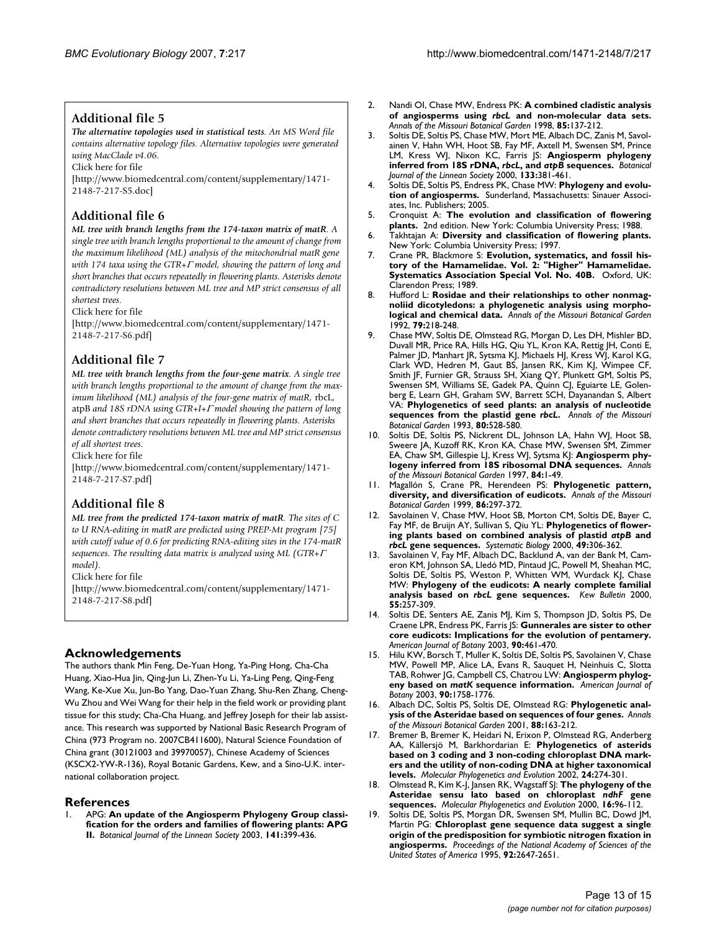## **Additional file 5**

*The alternative topologies used in statistical tests. An MS Word file contains alternative topology files. Alternative topologies were generated using MacClade v4.06.*

Click here for file

[\[http://www.biomedcentral.com/content/supplementary/1471-](http://www.biomedcentral.com/content/supplementary/1471-2148-7-217-S5.doc) 2148-7-217-S5.doc]

## **Additional file 6**

*ML tree with branch lengths from the 174-taxon matrix of matR. A single tree with branch lengths proportional to the amount of change from the maximum likelihood (ML) analysis of the mitochondrial matR gene with 174 taxa using the GTR+*Γ *model, showing the pattern of long and short branches that occurs repeatedly in flowering plants. Asterisks denote contradictory resolutions between ML tree and MP strict consensus of all shortest trees.*

Click here for file

[\[http://www.biomedcentral.com/content/supplementary/1471-](http://www.biomedcentral.com/content/supplementary/1471-2148-7-217-S6.pdf) 2148-7-217-S6.pdf]

# **Additional file 7**

*ML tree with branch lengths from the four-gene matrix. A single tree with branch lengths proportional to the amount of change from the maximum likelihood (ML) analysis of the four-gene matrix of matR,* rbcL*,*  atpB *and 18S rDNA using GTR+I+*Γ *model showing the pattern of long and short branches that occurs repeatedly in flowering plants. Asterisks denote contradictory resolutions between ML tree and MP strict consensus of all shortest trees.*

Click here for file

[\[http://www.biomedcentral.com/content/supplementary/1471-](http://www.biomedcentral.com/content/supplementary/1471-2148-7-217-S7.pdf) 2148-7-217-S7.pdf]

## **Additional file 8**

*ML tree from the predicted 174-taxon matrix of matR. The sites of C to U RNA-editing in matR are predicted using PREP-Mt program [75] with cutoff value of 0.6 for predicting RNA-editing sites in the 174-matR sequences. The resulting data matrix is analyzed using ML (GTR+*<sup>Γ</sup> *model).*

Click here for file

[\[http://www.biomedcentral.com/content/supplementary/1471-](http://www.biomedcentral.com/content/supplementary/1471-2148-7-217-S8.pdf) 2148-7-217-S8.pdf]

## **Acknowledgements**

The authors thank Min Feng, De-Yuan Hong, Ya-Ping Hong, Cha-Cha Huang, Xiao-Hua Jin, Qing-Jun Li, Zhen-Yu Li, Ya-Ling Peng, Qing-Feng Wang, Ke-Xue Xu, Jun-Bo Yang, Dao-Yuan Zhang, Shu-Ren Zhang, Cheng-Wu Zhou and Wei Wang for their help in the field work or providing plant tissue for this study; Cha-Cha Huang, and Jeffrey Joseph for their lab assistance. This research was supported by National Basic Research Program of China (973 Program no. 2007CB411600), Natural Science Foundation of China grant (30121003 and 39970057), Chinese Academy of Sciences (KSCX2-YW-R-136), Royal Botanic Gardens, Kew, and a Sino-U.K. international collaboration project.

#### **References**

APG: An update of the Angiosperm Phylogeny Group classi**fication for the orders and families of flowering plants: APG II.** *Botanical Journal of the Linnean Society* 2003, **141:**399-436.

- 2. Nandi OI, Chase MW, Endress PK: **A combined cladistic analysis of angiosperms using** *rbcL* **and non-molecular data sets.** *Annals of the Missouri Botanical Garden* 1998, **85:**137-212.
- 3. Soltis DE, Soltis PS, Chase MW, Mort ME, Albach DC, Zanis M, Savolainen V, Hahn WH, Hoot SB, Fay MF, Axtell M, Swensen SM, Prince LM, Kress WJ, Nixon KC, Farris JS: **Angiosperm phylogeny inferred from 18S rDNA,** *rbcL***, and** *atpB* **sequences.** *Botanical Journal of the Linnean Society* 2000, **133:**381-461.
- Soltis DE, Soltis PS, Endress PK, Chase MW: Phylogeny and evolu**tion of angiosperms.** Sunderland, Massachusetts: Sinauer Associates, Inc. Publishers; 2005.
- 5. Cronquist A: **[The evolution and classification of flowering](http://www.ncbi.nlm.nih.gov/entrez/query.fcgi?cmd=Retrieve&db=PubMed&dopt=Abstract&list_uids=3285657) [plants.](http://www.ncbi.nlm.nih.gov/entrez/query.fcgi?cmd=Retrieve&db=PubMed&dopt=Abstract&list_uids=3285657)** 2nd edition. New York: Columbia University Press; 1988.
- 6. Takhtajan A: **Diversity and classification of flowering plants.** New York: Columbia University Press; 1997.
- 7. Crane PR, Blackmore S: **Evolution, systematics, and fossil history of the Hamamelidae. Vol. 2: "Higher" Hamamelidae. Systematics Association Special Vol. No. 40B.** Oxford, UK: Clarendon Press; 1989.
- 8. Hufford L: **Rosidae and their relationships to other nonmagnoliid dicotyledons: a phylogenetic analysis using morphological and chemical data.** *Annals of the Missouri Botanical Garden* 1992, **79:**218-248.
- 9. Chase MW, Soltis DE, Olmstead RG, Morgan D, Les DH, Mishler BD, Duvall MR, Price RA, Hills HG, Qiu YL, Kron KA, Rettig JH, Conti E, Palmer JD, Manhart JR, Sytsma KJ, Michaels HJ, Kress WJ, Karol KG, Clark WD, Hedren M, Gaut BS, Jansen RK, Kim KJ, Wimpee CF, Smith JF, Furnier GR, Strauss SH, Xiang QY, Plunkett GM, Soltis PS, Swensen SM, Williams SE, Gadek PA, Quinn CJ, Eguiarte LE, Golenberg E, Learn GH, Graham SW, Barrett SCH, Dayanandan S, Albert VA: **Phylogenetics of seed plants: an analysis of nucleotide sequences from the plastid gene** *rbcL***.** *Annals of the Missouri Botanical Garden* 1993, **80:**528-580.
- 10. Soltis DE, Soltis PS, Nickrent DL, Johnson LA, Hahn WJ, Hoot SB, Sweere JA, Kuzoff RK, Kron KA, Chase MW, Swensen SM, Zimmer EA, Chaw SM, Gillespie LJ, Kress WJ, Sytsma KJ: **Angiosperm phylogeny inferred from 18S ribosomal DNA sequences.** *Annals of the Missouri Botanical Garden* 1997, **84:**1-49.
- 11. Magallón S, Crane PR, Herendeen PS: **Phylogenetic pattern, diversity, and diversification of eudicots.** *Annals of the Missouri Botanical Garden* 1999, **86:**297-372.
- 12. Savolainen V, Chase MW, Hoot SB, Morton CM, Soltis DE, Bayer C, Fay MF, de Bruijn AY, Sullivan S, Qiu YL: **Phylogenetics of flowering plants based on combined analysis of plastid** *atpB* **and** *rbcL* **[gene sequences.](http://www.ncbi.nlm.nih.gov/entrez/query.fcgi?cmd=Retrieve&db=PubMed&dopt=Abstract&list_uids=12118410)** *Systematic Biology* 2000, **49:**306-362.
- Savolainen V, Fay MF, Albach DC, Backlund A, van der Bank M, Cameron KM, Johnson SA, Lledó MD, Pintaud JC, Powell M, Sheahan MC, Soltis DE, Soltis PS, Weston P, Whitten WM, Wurdack KJ, Chase MW: **Phylogeny of the eudicots: A nearly complete familial analysis based on** *rbcL* **gene sequences.** *Kew Bulletin* 2000, **55:**257-309.
- 14. Soltis DE, Senters AE, Zanis MJ, Kim S, Thompson JD, Soltis PS, De Craene LPR, Endress PK, Farris JS: **Gunnerales are sister to other core eudicots: Implications for the evolution of pentamery.** *American Journal of Botany* 2003, **90:**461-470.
- 15. Hilu KW, Borsch T, Muller K, Soltis DE, Soltis PS, Savolainen V, Chase MW, Powell MP, Alice LA, Evans R, Sauquet H, Neinhuis C, Slotta TAB, Rohwer JG, Campbell CS, Chatrou LW: **Angiosperm phylogeny based on** *matK* **sequence information.** *American Journal of Botany* 2003, **90:**1758-1776.
- 16. Albach DC, Soltis PS, Soltis DE, Olmstead RG: **Phylogenetic analysis of the Asteridae based on sequences of four genes.** *Annals of the Missouri Botanical Garden* 2001, **88:**163-212.
- 17. Bremer B, Bremer K, Heidari N, Erixon P, Olmstead RG, Anderberg AA, Källersjö M, Barkhordarian E: **Phylogenetics of asterids based on 3 coding and 3 non-coding chloroplast DNA markers and the utility of non-coding DNA at higher taxonomical levels.** *Molecular Phylogenetics and Evolution* 2002, **24:**274-301.
- 18. Olmstead R, Kim K-J, Jansen RK, Wagstaff SJ: **The phylogeny of the Asteridae sensu lato based on chloroplast** *ndhF* **gene sequences.** *Molecular Phylogenetics and Evolution* 2000, **16:**96-112.
- 19. Soltis DE, Soltis PS, Morgan DR, Swensen SM, Mullin BC, Dowd JM, Martin PG: **[Chloroplast gene sequence data suggest a single](http://www.ncbi.nlm.nih.gov/entrez/query.fcgi?cmd=Retrieve&db=PubMed&dopt=Abstract&list_uids=7708699) [origin of the predisposition for symbiotic nitrogen fixation in](http://www.ncbi.nlm.nih.gov/entrez/query.fcgi?cmd=Retrieve&db=PubMed&dopt=Abstract&list_uids=7708699) [angiosperms.](http://www.ncbi.nlm.nih.gov/entrez/query.fcgi?cmd=Retrieve&db=PubMed&dopt=Abstract&list_uids=7708699)** *Proceedings of the National Academy of Sciences of the United States of America* 1995, **92:**2647-2651.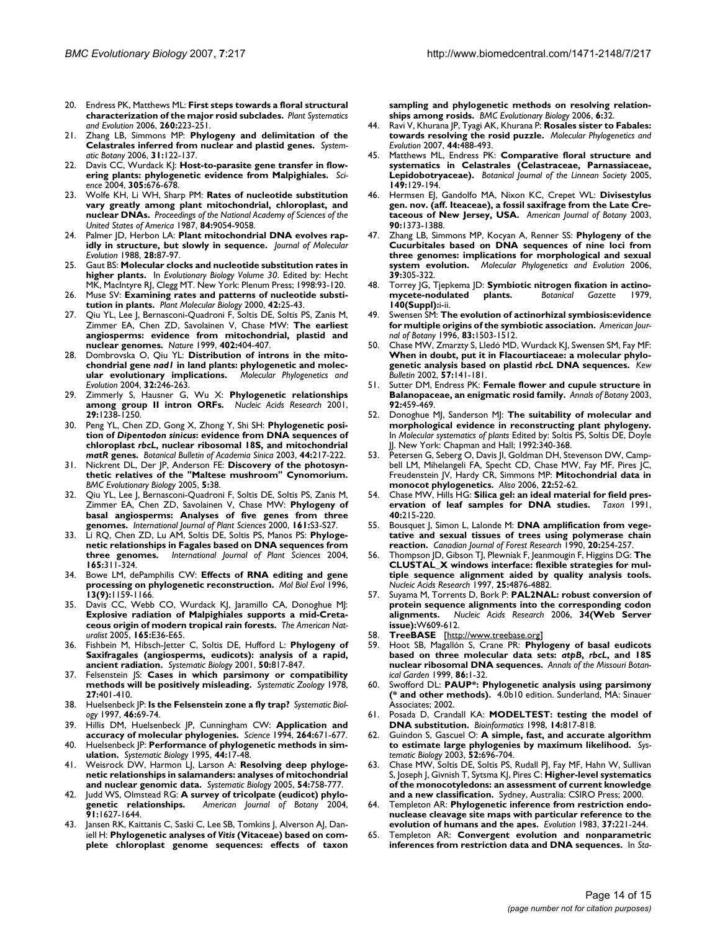- 20. Endress PK, Matthews ML: **First steps towards a floral structural characterization of the major rosid subclades.** *Plant Systematics and Evolution* 2006, **260:**223-251.
- 21. Zhang LB, Simmons MP: **Phylogeny and delimitation of the Celastrales inferred from nuclear and plastid genes.** *Systematic Botany* 2006, **31:**122-137.
- 22. Davis CC, Wurdack KJ: **[Host-to-parasite gene transfer in flow](http://www.ncbi.nlm.nih.gov/entrez/query.fcgi?cmd=Retrieve&db=PubMed&dopt=Abstract&list_uids=15256617)[ering plants: phylogenetic evidence from Malpighiales.](http://www.ncbi.nlm.nih.gov/entrez/query.fcgi?cmd=Retrieve&db=PubMed&dopt=Abstract&list_uids=15256617)** *Science* 2004, **305:**676-678.
- 23. Wolfe KH, Li WH, Sharp PM: **[Rates of nucleotide substitution](http://www.ncbi.nlm.nih.gov/entrez/query.fcgi?cmd=Retrieve&db=PubMed&dopt=Abstract&list_uids=3480529) [vary greatly among plant mitochondrial, chloroplast, and](http://www.ncbi.nlm.nih.gov/entrez/query.fcgi?cmd=Retrieve&db=PubMed&dopt=Abstract&list_uids=3480529) [nuclear DNAs.](http://www.ncbi.nlm.nih.gov/entrez/query.fcgi?cmd=Retrieve&db=PubMed&dopt=Abstract&list_uids=3480529)** *Proceedings of the National Academy of Sciences of the United States of America* 1987, **84:**9054-9058.
- 24. Palmer JD, Herbon LA: [Plant mitochondrial DNA evolves rap](http://www.ncbi.nlm.nih.gov/entrez/query.fcgi?cmd=Retrieve&db=PubMed&dopt=Abstract&list_uids=3148746)**[idly in structure, but slowly in sequence.](http://www.ncbi.nlm.nih.gov/entrez/query.fcgi?cmd=Retrieve&db=PubMed&dopt=Abstract&list_uids=3148746)** *Journal of Molecular Evolution* 1988, **28:**87-97.
- 25. Gaut BS: **Molecular clocks and nucleotide substitution rates in higher plants.** In *Evolutionary Biology Volume 30*. Edited by: Hecht MK, MacIntyre RJ, Clegg MT. New York: Plenum Press; 1998:93-120.
- 26. Muse SV: **[Examining rates and patterns of nucleotide substi](http://www.ncbi.nlm.nih.gov/entrez/query.fcgi?cmd=Retrieve&db=PubMed&dopt=Abstract&list_uids=10688129)[tution in plants.](http://www.ncbi.nlm.nih.gov/entrez/query.fcgi?cmd=Retrieve&db=PubMed&dopt=Abstract&list_uids=10688129)** *Plant Molecular Biology* 2000, **42:**25-43.
- 27. Qiu YL, Lee J, Bernasconi-Quadroni F, Soltis DE, Soltis PS, Zanis M, Zimmer EA, Chen ZD, Savolainen V, Chase MW: **[The earliest](http://www.ncbi.nlm.nih.gov/entrez/query.fcgi?cmd=Retrieve&db=PubMed&dopt=Abstract&list_uids=10586879) [angiosperms: evidence from mitochondrial, plastid and](http://www.ncbi.nlm.nih.gov/entrez/query.fcgi?cmd=Retrieve&db=PubMed&dopt=Abstract&list_uids=10586879) [nuclear genomes.](http://www.ncbi.nlm.nih.gov/entrez/query.fcgi?cmd=Retrieve&db=PubMed&dopt=Abstract&list_uids=10586879)** *Nature* 1999, **402:**404-407.
- Dombrovska O, Qiu YL: Distribution of introns in the mito**chondrial gene** *nad1* **in land plants: phylogenetic and molecular evolutionary implications.** *Molecular Phylogenetics and Evolution* 2004, **32:**246-263.
- 29. Zimmerly S, Hausner G, Wu X: **[Phylogenetic relationships](http://www.ncbi.nlm.nih.gov/entrez/query.fcgi?cmd=Retrieve&db=PubMed&dopt=Abstract&list_uids=11222775) [among group II intron ORFs.](http://www.ncbi.nlm.nih.gov/entrez/query.fcgi?cmd=Retrieve&db=PubMed&dopt=Abstract&list_uids=11222775)** *Nucleic Acids Research* 2001, **29:**1238-1250.
- 30. Peng YL, Chen ZD, Gong X, Zhong Y, Shi SH: **Phylogenetic position of** *Dipentodon sinicus***: evidence from DNA sequences of chloroplast** *rbcL***, nuclear ribosomal 18S, and mitochondrial** *matR* **genes.** *Botanical Bulletin of Academia Sinica* 2003, **44:**217-222.
- 31. Nickrent DL, Der JP, Anderson FE: **[Discovery of the photosyn](http://www.ncbi.nlm.nih.gov/entrez/query.fcgi?cmd=Retrieve&db=PubMed&dopt=Abstract&list_uids=15969755)[thetic relatives of the "Maltese mushroom" Cynomorium.](http://www.ncbi.nlm.nih.gov/entrez/query.fcgi?cmd=Retrieve&db=PubMed&dopt=Abstract&list_uids=15969755)** *BMC Evolutionary Biology* 2005, **5:**38.
- Qiu YL, Lee J, Bernasconi-Quadroni F, Soltis DE, Soltis PS, Zanis M, Zimmer EA, Chen ZD, Savolainen V, Chase MW: **Phylogeny of basal angiosperms: Analyses of five genes from three genomes.** *International Journal of Plant Sciences* 2000, **161:**S3-S27.
- 33. Li RQ, Chen ZD, Lu AM, Soltis DE, Soltis PS, Manos PS: **Phylogenetic relationships in Fagales based on DNA sequences from three genomes.** *International Journal of Plant Sciences* 2004, **165:**311-324.
- 34. Bowe LM, dePamphilis CW: **[Effects of RNA editing and gene](http://www.ncbi.nlm.nih.gov/entrez/query.fcgi?cmd=Retrieve&db=PubMed&dopt=Abstract&list_uids=8896368) [processing on phylogenetic reconstruction.](http://www.ncbi.nlm.nih.gov/entrez/query.fcgi?cmd=Retrieve&db=PubMed&dopt=Abstract&list_uids=8896368)** *Mol Biol Evol* 1996, **13(9):**1159-1166.
- 35. Davis CC, Webb CO, Wurdack KJ, Jaramillo CA, Donoghue MJ: **[Explosive radiation of Malpighiales supports a mid-Creta](http://www.ncbi.nlm.nih.gov/entrez/query.fcgi?cmd=Retrieve&db=PubMed&dopt=Abstract&list_uids=15729659)[ceous origin of modern tropical rain forests.](http://www.ncbi.nlm.nih.gov/entrez/query.fcgi?cmd=Retrieve&db=PubMed&dopt=Abstract&list_uids=15729659)** *The American Naturalist* 2005, **165:**E36-E65.
- 36. Fishbein M, Hibsch-Jetter C, Soltis DE, Hufford L: **[Phylogeny of](http://www.ncbi.nlm.nih.gov/entrez/query.fcgi?cmd=Retrieve&db=PubMed&dopt=Abstract&list_uids=12116635) [Saxifragales \(angiosperms, eudicots\): analysis of a rapid,](http://www.ncbi.nlm.nih.gov/entrez/query.fcgi?cmd=Retrieve&db=PubMed&dopt=Abstract&list_uids=12116635) [ancient radiation.](http://www.ncbi.nlm.nih.gov/entrez/query.fcgi?cmd=Retrieve&db=PubMed&dopt=Abstract&list_uids=12116635)** *Systematic Biology* 2001, **50:**817-847.
- 37. Felsenstein JS: **Cases in which parsimony or compatibility methods will be positively misleading.** *Systematic Zoology* 1978, **27:**401-410.
- 38. Huelsenbeck JP: **[Is the Felsenstein zone a fly trap?](http://www.ncbi.nlm.nih.gov/entrez/query.fcgi?cmd=Retrieve&db=PubMed&dopt=Abstract&list_uids=11975354)** *Systematic Biology* 1997, **46:**69-74.
- 39. Hillis DM, Huelsenbeck JP, Cunningham CW: **[Application and](http://www.ncbi.nlm.nih.gov/entrez/query.fcgi?cmd=Retrieve&db=PubMed&dopt=Abstract&list_uids=8171318) [accuracy of molecular phylogenies.](http://www.ncbi.nlm.nih.gov/entrez/query.fcgi?cmd=Retrieve&db=PubMed&dopt=Abstract&list_uids=8171318)** *Science* 1994, **264:**671-677.
- 40. Huelsenbeck JP: **Performance of phylogenetic methods in simulation.** *Systematic Biology* 1995, **44:**17-48.
- 41. Weisrock DW, Harmon LJ, Larson A: **[Resolving deep phyloge](http://www.ncbi.nlm.nih.gov/entrez/query.fcgi?cmd=Retrieve&db=PubMed&dopt=Abstract&list_uids=16243763)[netic relationships in salamanders: analyses of mitochondrial](http://www.ncbi.nlm.nih.gov/entrez/query.fcgi?cmd=Retrieve&db=PubMed&dopt=Abstract&list_uids=16243763) [and nuclear genomic data.](http://www.ncbi.nlm.nih.gov/entrez/query.fcgi?cmd=Retrieve&db=PubMed&dopt=Abstract&list_uids=16243763)** *Systematic Biology* 2005, **54:**758-777.
- 42. Judd WS, Olmstead RG: **A survey of tricolpate (eudicot) phylogenetic relationships.** *American Journal of Botany* 2004, **91:**1627-1644.
- Jansen RK, Kaittanis C, Saski C, Lee SB, Tomkins J, Alverson AJ, Daniell H: **Phylogenetic analyses of** *Vitis* **[\(Vitaceae\) based on com](http://www.ncbi.nlm.nih.gov/entrez/query.fcgi?cmd=Retrieve&db=PubMed&dopt=Abstract&list_uids=16603088)[plete chloroplast genome sequences: effects of taxon](http://www.ncbi.nlm.nih.gov/entrez/query.fcgi?cmd=Retrieve&db=PubMed&dopt=Abstract&list_uids=16603088)**

**[sampling and phylogenetic methods on resolving relation](http://www.ncbi.nlm.nih.gov/entrez/query.fcgi?cmd=Retrieve&db=PubMed&dopt=Abstract&list_uids=16603088)[ships among rosids.](http://www.ncbi.nlm.nih.gov/entrez/query.fcgi?cmd=Retrieve&db=PubMed&dopt=Abstract&list_uids=16603088)** *BMC Evolutionary Biology* 2006, **6:**32.

- 44. Ravi V, Khurana JP, Tyagi AK, Khurana P: **Rosales sister to Fabales: towards resolving the rosid puzzle.** *Molecular Phylogenetics and Evolution* 2007, **44:**488-493.
- 45. Matthews ML, Endress PK: **Comparative floral structure and systematics in Celastrales (Celastraceae, Parnassiaceae, Lepidobotryaceae).** *Botanical Journal of the Linnean Society* 2005, **149:**129-194.
- 46. Hermsen EJ, Gandolfo MA, Nixon KC, Crepet WL: **Divisestylus gen. nov. (aff. Iteaceae), a fossil saxifrage from the Late Cretaceous of New Jersey, USA.** *American Journal of Botany* 2003, **90:**1373-1388.
- 47. Zhang LB, Simmons MP, Kocyan A, Renner SS: **Phylogeny of the Cucurbitales based on DNA sequences of nine loci from three genomes: implications for morphological and sexual system evolution.** *Molecular Phylogenetics and Evolution* 2006, **39:**305-322.
- 48. Torrey JG, Tjepkema JD: **Symbiotic nitrogen fixation in actinomycete-nodulated plants.** *Botanical Gazette* 1979, **140(Suppl):**i-ii.
- 49. Swensen SM: **The evolution of actinorhizal symbiosis:evidence for multiple origins of the symbiotic association.** *American Journal of Botany* 1996, **83:**1503-1512.
- 50. Chase MW, Zmarzty S, Lledó MD, Wurdack KJ, Swensen SM, Fay MF: **When in doubt, put it in Flacourtiaceae: a molecular phylogenetic analysis based on plastid** *rbcL* **DNA sequences.** *Kew Bulletin* 2002, **57:**141-181.
- 51. Sutter DM, Endress PK: **[Female flower and cupule structure in](http://www.ncbi.nlm.nih.gov/entrez/query.fcgi?cmd=Retrieve&db=PubMed&dopt=Abstract&list_uids=12930731) [Balanopaceae, an enigmatic rosid family.](http://www.ncbi.nlm.nih.gov/entrez/query.fcgi?cmd=Retrieve&db=PubMed&dopt=Abstract&list_uids=12930731)** *Annals of Botany* 2003, **92:**459-469.
- 52. Donoghue MJ, Sanderson MJ: **The suitability of molecular and morphological evidence in reconstructing plant phylogeny.** In *Molecular systematics of plants* Edited by: Soltis PS, Soltis DE, Doyle JJ. New York: Chapman and Hall; 1992:340-368.
- 53. Petersen G, Seberg O, Davis JI, Goldman DH, Stevenson DW, Campbell LM, Mihelangeli FA, Specht CD, Chase MW, Fay MF, Pires JC, Freudenstein JV, Hardy CR, Simmons MP: **Mitochondrial data in monocot phylogenetics.** *Aliso* 2006, **22:**52-62.
- 54. Chase MW, Hills HG: **Silica gel: an ideal material for field preservation of leaf samples for DNA studies.** *Taxon* 1991, **40:**215-220.
- 55. Bousquet J, Simon L, Lalonde M: **DNA amplification from vegetative and sexual tissues of trees using polymerase chain reaction.** *Canadian Journal of Forest Research* 1990, **20:**254-257.
- 56. Thompson JD, Gibson TJ, Plewniak F, Jeanmougin F, Higgins DG: **[The](http://www.ncbi.nlm.nih.gov/entrez/query.fcgi?cmd=Retrieve&db=PubMed&dopt=Abstract&list_uids=9396791) [CLUSTAL\\_X windows interface: flexible strategies for mul](http://www.ncbi.nlm.nih.gov/entrez/query.fcgi?cmd=Retrieve&db=PubMed&dopt=Abstract&list_uids=9396791)tiple sequence alignment aided by quality analysis tools.** *Nucleic Acids Research* 1997, **25:**4876-4882.
- 57. Suyama M, Torrents D, Bork P: **[PAL2NAL: robust conversion of](http://www.ncbi.nlm.nih.gov/entrez/query.fcgi?cmd=Retrieve&db=PubMed&dopt=Abstract&list_uids=16845082) [protein sequence alignments into the corresponding codon](http://www.ncbi.nlm.nih.gov/entrez/query.fcgi?cmd=Retrieve&db=PubMed&dopt=Abstract&list_uids=16845082) [alignments.](http://www.ncbi.nlm.nih.gov/entrez/query.fcgi?cmd=Retrieve&db=PubMed&dopt=Abstract&list_uids=16845082)** *Nucleic Acids Research* 2006, **34(Web Server issue):**W609-612.
- TreeBASE [\[http://www.treebase.org](http://www.treebase.org)]
- 59. Hoot SB, Magallón S, Crane PR: **Phylogeny of basal eudicots based on three molecular data sets:** *atpB***,** *rbcL***, and 18S nuclear ribosomal DNA sequences.** *Annals of the Missouri Botanical Garden* 1999, **86:**1-32.
- 60. Swofford DL: **[PAUP\\*: Phylogenetic analysis using parsimony](http://www.ncbi.nlm.nih.gov/entrez/query.fcgi?cmd=Retrieve&db=PubMed&dopt=Abstract&list_uids=12504223) [\(\\* and other methods\).](http://www.ncbi.nlm.nih.gov/entrez/query.fcgi?cmd=Retrieve&db=PubMed&dopt=Abstract&list_uids=12504223)** 4.0b10 edition. Sunderland, MA: Sinauer Associates; 2002.
- 61. Posada D, Crandall KA: **[MODELTEST: testing the model of](http://www.ncbi.nlm.nih.gov/entrez/query.fcgi?cmd=Retrieve&db=PubMed&dopt=Abstract&list_uids=9918953) [DNA substitution.](http://www.ncbi.nlm.nih.gov/entrez/query.fcgi?cmd=Retrieve&db=PubMed&dopt=Abstract&list_uids=9918953)** *Bioinformatics* 1998, **14:**817-818.
- 62. Guindon S, Gascuel O: **[A simple, fast, and accurate algorithm](http://www.ncbi.nlm.nih.gov/entrez/query.fcgi?cmd=Retrieve&db=PubMed&dopt=Abstract&list_uids=14530136) [to estimate large phylogenies by maximum likelihood.](http://www.ncbi.nlm.nih.gov/entrez/query.fcgi?cmd=Retrieve&db=PubMed&dopt=Abstract&list_uids=14530136)** *Systematic Biology* 2003, **52:**696-704.
- 63. Chase MW, Soltis DE, Soltis PS, Rudall PJ, Fay MF, Hahn W, Sullivan S, Joseph J, Givnish T, Sytsma KJ, Pires C: **Higher-level systematics of the monocotyledons: an assessment of current knowledge and a new classification.** Sydney, Australia: CSIRO Press; 2000.
- 64. Templeton AR: **Phylogenetic inference from restriction endonuclease cleavage site maps with particular reference to the evolution of humans and the apes.** *Evolution* 1983, **37:**221-244.
- 65. Templeton AR: **Convergent evolution and nonparametric inferences from restriction data and DNA sequences.** In *Sta-*